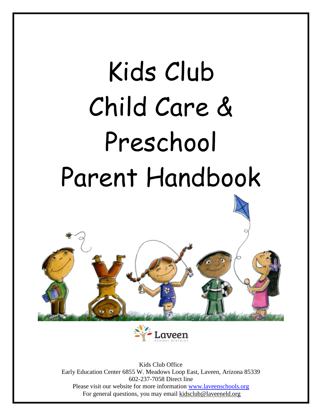# Kids Club Child Care & Preschool Parent Handbook





Kids Club Office Early Education Center 6855 W. Meadows Loop East, Laveen, Arizona 85339 602-237-7058 Direct line Please visit our website for more information [www.laveenschools.org](http://www.laveenschools.org/) For general questions, you may email kidsclub@laveeneld.org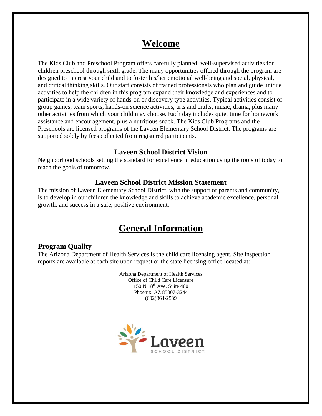# **Welcome**

The Kids Club and Preschool Program offers carefully planned, well-supervised activities for children preschool through sixth grade. The many opportunities offered through the program are designed to interest your child and to foster his/her emotional well-being and social, physical, and critical thinking skills. Our staff consists of trained professionals who plan and guide unique activities to help the children in this program expand their knowledge and experiences and to participate in a wide variety of hands-on or discovery type activities. Typical activities consist of group games, team sports, hands-on science activities, arts and crafts, music, drama, plus many other activities from which your child may choose. Each day includes quiet time for homework assistance and encouragement, plus a nutritious snack. The Kids Club Programs and the Preschools are licensed programs of the Laveen Elementary School District. The programs are supported solely by fees collected from registered participants.

# **Laveen School District Vision**

Neighborhood schools setting the standard for excellence in education using the tools of today to reach the goals of tomorrow.

# **Laveen School District Mission Statement**

The mission of Laveen Elementary School District, with the support of parents and community, is to develop in our children the knowledge and skills to achieve academic excellence, personal growth, and success in a safe, positive environment.

# **General Information**

# **Program Quality**

The Arizona Department of Health Services is the child care licensing agent. Site inspection reports are available at each site upon request or the state licensing office located at:

> Arizona Department of Health Services Office of Child Care Licensure 150 N 18th Ave, Suite 400 Phoenix, AZ 85007-3244 (602)364-2539

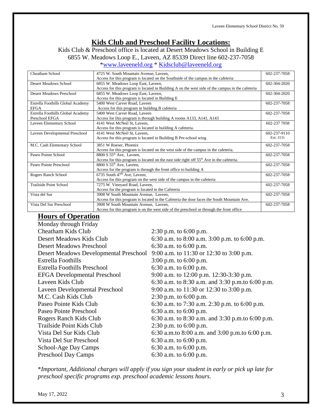## **Kids Club and Preschool Facility Locations:**

Kids Club & Preschool office is located at Desert Meadows School in Building E

6855 W. Meadows Loop E., Laveen, AZ 85339 Direct line 602-237-7058

[\\*www.laveeneld.org](http://www.laveeneld.org/) \* [Kidsclub@laveeneld.org](mailto:Kidsclub@laveeneld.org)

| Cheatham School                   | 4725 W. South Mountain Avenue, Laveen,                                                               | 602-237-7058 |
|-----------------------------------|------------------------------------------------------------------------------------------------------|--------------|
|                                   | Access for this program is located on the Southside of the campus in the cafeteria                   |              |
| <b>Desert Meadows School</b>      | 6855 W. Meadows Loop East, Laveen,                                                                   | 602-304-2020 |
|                                   | Access for this program is located in Building A on the west side of the campus in the cafeteria     |              |
| Desert Meadows Preschool          | 6855 W. Meadows Loop East, Laveen,                                                                   | 602-304-2020 |
|                                   | Access for this program is located in Building E                                                     |              |
| Estrella Foothills Global Academy | 5400 West Carver Road, Laveen                                                                        | 602-237-7058 |
| <b>EFGA</b>                       | Access for this program in building B cafeteria                                                      |              |
| Estrella Foothills Global Academy | 5400 West Carver Road, Laveen                                                                        | 602-237-7058 |
| Preschool EFGA                    | Access for this program is through building A rooms A133, A141, A143                                 |              |
| Laveen Elementary School          | 4141 West McNeil St, Laveen,                                                                         | 602-237 7058 |
|                                   | Access for this program is located in building A cafeteria.                                          |              |
| Laveen Developmental Preschool    | 4141 West McNeil St, Laveen,                                                                         | 602-237-9110 |
|                                   | Access for this program is located in Building B Pre-school wing                                     | Ext: 3131    |
| M.C. Cash Elementary School       | 3851 W Roeser, Phoenix                                                                               | 602-237-7058 |
|                                   | Access for this program is located on the west side of the campus in the cafeteria.                  |              |
| Paseo Pointe School               | $8800 S 55th$ Ave. Laveen.                                                                           | 602-237-7058 |
|                                   | Access for this program is located on the east side right off 55 <sup>th</sup> Ave in the cafeteria. |              |
| Paseo Pointe Preschool            | 8800 S $55th$ Ave, Laveen,                                                                           | 602-237-7058 |
|                                   | Access for the program is through the front office to building A                                     |              |
| Rogers Ranch School               | 6735 South $47th$ Ave, Laveen,                                                                       | 602-237-7058 |
|                                   | Access for this program on the west side of the campus in the cafeteria                              |              |
| <b>Trailside Point School</b>     | 7275 W. Vineyard Road, Laveen,                                                                       | 602-237-7058 |
|                                   | Access for the program is located in the Cafeteria                                                   |              |
| Vista del Sur                     | 3908 W South Mountain Avenue, Laveen,                                                                | 602-237-7058 |
|                                   | Access for this program is located in the Cafeteria the door faces the South Mountain Ave.           |              |
| Vista Del Sur Preschool           | 3908 W South Mountain Avenue, Laveen.                                                                | 602-237-7058 |
|                                   | Access for this program is on the west side of the preschool or through the front office             |              |

# **Hours of Operation**

| Monday through Friday                         |                                                   |
|-----------------------------------------------|---------------------------------------------------|
| Cheatham Kids Club                            | 2:30 p.m. to $6:00$ p.m.                          |
| Desert Meadows Kids Club                      | 6:30 a.m. to 8:00 a.m. 3:00 p.m. to 6:00 p.m.     |
| <b>Desert Meadows Preschool</b>               | 6:30 a.m. to $6:00$ p.m.                          |
| <b>Desert Meadows Developmental Preschool</b> | 9:00 a.m. to 11:30 or 12:30 to 3:00 p.m.          |
| Estrella Foothills                            | $3:00$ p.m. to 6:00 p.m.                          |
| <b>Estrella Foothills Preschool</b>           | 6:30 a.m. to $6:00$ p.m.                          |
| <b>EFGA</b> Developmental Preschool           | 9:00 a.m. to 12:00 p.m. 12:30-3:30 p.m.           |
| Laveen Kids Club                              | 6:30 a.m. to 8:30 a.m. and 3:30 p.m. to 6:00 p.m. |
| Laveen Developmental Preschool                | 9:00 a.m. to 11:30 or 12:30 to 3:00 p.m.          |
| M.C. Cash Kids Club                           | 2:30 p.m. to $6:00$ p.m.                          |
| Paseo Pointe Kids Club                        | 6:30 a.m. to 7:30 a.m. 2:30 p.m. to 6:00 p.m.     |
| Paseo Pointe Preschool                        | 6:30 a.m. to $6:00$ p.m.                          |
| Rogers Ranch Kids Club                        | 6:30 a.m. to 8:30 a.m. and 3:30 p.m. to 6:00 p.m. |
| Trailside Point Kids Club                     | 2:30 p.m. to $6:00$ p.m.                          |
| Vista Del Sur Kids Club                       | 6:30 a.m.to 8:00 a.m. and 3:00 p.m.to 6:00 p.m.   |
| Vista Del Sur Preschool                       | 6:30 a.m. to $6:00$ p.m.                          |
| School-Age Day Camps                          | 6:30 a.m. to $6:00$ p.m.                          |
| <b>Preschool Day Camps</b>                    | 6:30 a.m. to $6:00$ p.m.                          |

\**Important, Additional charges will apply if you sign your student in early or pick up late for preschool specific programs exp. preschool academic lessons hours.*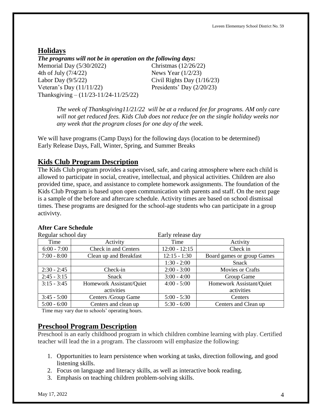#### **Holidays** *The programs will not be in operation on the following days:* Memorial Day (5/30/2022) Christmas (12/26/22) 4th of July (7/4/22) News Year (1/2/23) Labor Day  $(9/5/22)$  Civil Rights Day  $(1/16/23)$ Veteran's Day (11/11/22) Presidents' Day (2/20/23) Thanksgiving – (11/23-11/24-11/25/22)

*The week of Thanksgiving11/21/22 will be at a reduced fee for programs. AM only care will not get reduced fees. Kids Club does not reduce fee on the single holiday weeks nor any week that the program closes for one day of the week.* 

We will have programs (Camp Days) for the following days (location to be determined) Early Release Days, Fall, Winter, Spring, and Summer Breaks

## **Kids Club Program Description**

The Kids Club program provides a supervised, safe, and caring atmosphere where each child is allowed to participate in social, creative, intellectual, and physical activities. Children are also provided time, space, and assistance to complete homework assignments. The foundation of the Kids Club Program is based upon open communication with parents and staff. On the next page is a sample of the before and aftercare schedule. Activity times are based on school dismissal times. These programs are designed for the school-age students who can participate in a group activivty.

| Regular school day |                          | Early release day |                            |
|--------------------|--------------------------|-------------------|----------------------------|
| Time               | Activity                 | Time              | Activity                   |
| $6:00 - 7:00$      | Check in and Centers     | $12:00 - 12:15$   | Check in                   |
| $7:00 - 8:00$      | Clean up and Breakfast   | $12:15 - 1:30$    | Board games or group Games |
|                    |                          | $1:30 - 2:00$     | Snack                      |
| $2:30 - 2:45$      | Check-in                 | $2:00 - 3:00$     | Movies or Crafts           |
| $2:45 - 3:15$      | Snack                    | $3:00 - 4:00$     | Group Game                 |
| $3:15 - 3:45$      | Homework Assistant/Quiet | $4:00 - 5:00$     | Homework Assistant/Quiet   |
|                    | activities               |                   | activities                 |
| $3:45 - 5:00$      | Centers /Group Game      | $5:00 - 5:30$     | Centers                    |
| $5:00 - 6:00$      | Centers and clean up     | $5:30 - 6:00$     | Centers and Clean up       |

#### **After Care Schedule**

Time may vary due to schools' operating hours.

#### **Preschool Program Description**

Preschool is an early childhood program in which children combine learning with play. Certified teacher will lead the in a program. The classroom will emphasize the following:

- 1. Opportunities to learn persistence when working at tasks, direction following, and good listening skills.
- 2. Focus on language and [literacy](http://www.healthofchildren.com/knowledge/Literacy.html) skills, as well as interactive book reading.
- 3. Emphasis on teaching children problem-solving skills.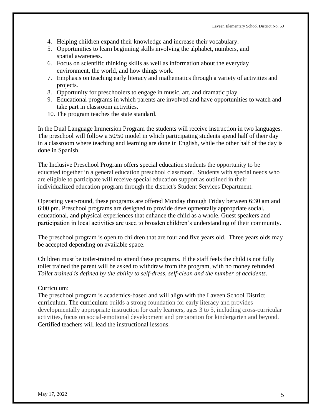- 4. Helping children expand their knowledge and increase their vocabulary.
- 5. Opportunities to learn beginning skills involving the alphabet, numbers, and spatial [awareness.](http://www.healthofchildren.com/knowledge/Spatial_temporal_reasoning.html)
- 6. Focus on scientific thinking skills as well as information about the everyday environment, the world, and how things work.
- 7. Emphasis on teaching early literacy and [mathematics](http://www.healthofchildren.com/knowledge/Mathematics.html) through a variety of activities and projects.
- 8. Opportunity for preschoolers to engage in music, art, and dramatic play.
- 9. Educational programs in which parents are involved and have opportunities to watch and take part in classroom activities.
- 10. The program teaches the state standard.

In the Dual Language Immersion Program the students will receive instruction in two languages. The preschool will follow a 50/50 model in which participating students spend half of their day in a classroom where teaching and learning are done in English, while the other half of the day is done in Spanish.

The Inclusive Preschool Program offers special education students the opportunity to be educated together in a general education preschool classroom. Students with special needs who are eligible to participate will receive special education support as outlined in their individualized education program through the district's Student Services Department.

Operating year-round, these programs are offered Monday through Friday between 6:30 am and 6:00 pm. Preschool programs are designed to provide developmentally appropriate social, educational, and physical experiences that enhance the child as a whole. Guest speakers and participation in local activities are used to broaden children's understanding of their community.

The preschool program is open to children that are four and five years old. Three years olds may be accepted depending on available space.

Children must be toilet-trained to attend these programs. If the staff feels the child is not fully toilet trained the parent will be asked to withdraw from the program, with no money refunded. *Toilet trained is defined by the ability to self-dress, self-clean and the number of accidents.* 

#### Curriculum:

The preschool program is academics-based and will align with the Laveen School District curriculum. The curriculum builds a strong foundation for early literacy and provides developmentally appropriate instruction for early learners, ages 3 to 5, including cross-curricular activities, focus on social-emotional development and preparation for kindergarten and beyond. Certified teachers will lead the instructional lessons.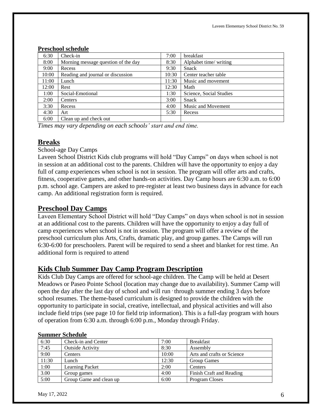|       | т голпоот венсиите                  |       |                         |  |  |
|-------|-------------------------------------|-------|-------------------------|--|--|
| 6:30  | Check-in                            | 7:00  | breakfast               |  |  |
| 8:00  | Morning message question of the day | 8:30  | Alphabet time/writing   |  |  |
| 9:00  | Recess                              | 9:30  | <b>Snack</b>            |  |  |
| 10:00 | Reading and journal or discussion   | 10:30 | Center teacher table    |  |  |
| 11:00 | Lunch                               | 11:30 | Music and movement      |  |  |
| 12:00 | Rest                                | 12:30 | Math                    |  |  |
| 1:00  | Social-Emotional                    | 1:30  | Science, Social Studies |  |  |
| 2:00  | Centers                             | 3:00  | Snack                   |  |  |
| 3:30  | Recess                              | 4:00  | Music and Movement      |  |  |
| 4:30  | Art                                 | 5:30  | Recess                  |  |  |
| 6:00  | Clean up and check out              |       |                         |  |  |

#### **Preschool schedule**

*Times may vary depending on each schools' start and end time.*

#### **Breaks**

School-age Day Camps

Laveen School District Kids club programs will hold "Day Camps" on days when school is not in session at an additional cost to the parents. Children will have the opportunity to enjoy a day full of camp experiences when school is not in session. The program will offer arts and crafts, fitness, cooperative games, and other hands-on activities. Day Camp hours are 6:30 a.m. to 6:00 p.m. school age. Campers are asked to pre-register at least two business days in advance for each camp. An additional registration form is required.

#### **Preschool Day Camps**

Laveen Elementary School District will hold "Day Camps" on days when school is not in session at an additional cost to the parents. Children will have the opportunity to enjoy a day full of camp experiences when school is not in session. The program will offer a review of the preschool curriculum plus Arts, Crafts, dramatic play, and group games. The Camps will run 6:30-6:00 for preschoolers. Parent will be required to send a sheet and blanket for rest time. An additional form is required to attend

#### **Kids Club Summer Day Camp Program Description**

Kids Club Day Camps are offered for school-age children. The Camp will be held at Desert Meadows or Paseo Pointe School (location may change due to availability). Summer Camp will open the day after the last day of school and will run , through summer ending 3 days before school resumes. The theme-based curriculum is designed to provide the children with the opportunity to participate in social, creative, intellectual, and physical activities and will also include field trips (see page 10 for field trip information). This is a full-day program with hours of operation from 6:30 a.m. through 6:00 p.m., Monday through Friday.

#### **Summer Schedule**

| 6:30  | Check-in and Center     | 7:00  | <b>Breakfast</b>           |
|-------|-------------------------|-------|----------------------------|
| 7:45  | <b>Outside Activity</b> | 8:30  | Assembly                   |
| 9:00  | Centers                 | 10:00 | Arts and crafts or Science |
| 11:30 | Lunch                   | 12:30 | <b>Group Games</b>         |
| 1:00  | <b>Learning Packet</b>  | 2:00  | Centers                    |
| 3.00  | Group games             | 4:00  | Finish Craft and Reading   |
| 5:00  | Group Game and clean up | 6:00  | Program Closes             |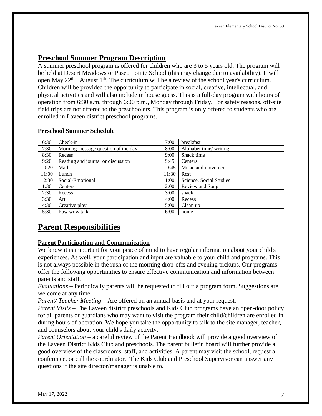# **Preschool Summer Program Description**

A summer preschool program is offered for children who are 3 to 5 years old. The program will be held at Desert Meadows or Paseo Pointe School (this may change due to availability). It will open May  $22<sup>th</sup>$  - August 1<sup>th</sup>. The curriculum will be a review of the school year's curriculum. Children will be provided the opportunity to participate in social, creative, intellectual, and physical activities and will also include in house guess. This is a full-day program with hours of operation from 6:30 a.m. through 6:00 p.m., Monday through Friday. For safety reasons, off-site field trips are not offered to the preschoolers. This program is only offered to students who are enrolled in Laveen district preschool programs.

#### **Preschool Summer Schedule**

| 6:30  | Check-in                            | 7:00  | breakfast               |
|-------|-------------------------------------|-------|-------------------------|
| 7:30  | Morning message question of the day | 8:00  | Alphabet time/writing   |
| 8:30  | Recess                              | 9:00  | Snack time              |
| 9:20  | Reading and journal or discussion   | 9:45  | Centers                 |
| 10:20 | Math                                | 10:45 | Music and movement      |
| 11:00 | Lunch                               | 11:30 | Rest                    |
| 12:30 | Social-Emotional                    | 1:00  | Science, Social Studies |
| 1:30  | Centers                             | 2:00  | Review and Song         |
| 2:30  | Recess                              | 3:00  | snack                   |
| 3:30  | Art                                 | 4:00  | Recess                  |
| 4:30  | Creative play                       | 5:00  | Clean up                |
| 5:30  | Pow wow talk                        | 6:00  | home                    |

# **Parent Responsibilities**

#### **Parent Participation and Communication**

We know it is important for your peace of mind to have regular information about your child's experiences. As well, your participation and input are valuable to your child and programs. This is not always possible in the rush of the morning drop-offs and evening pickups. Our programs offer the following opportunities to ensure effective communication and information between parents and staff.

*Evaluations* – Periodically parents will be requested to fill out a program form. Suggestions are welcome at any time.

*Parent/ Teacher Meeting* – Are offered on an annual basis and at your request.

*Parent Visits* – The Laveen district preschools and Kids Club programs have an open-door policy for all parents or guardians who may want to visit the program their child/children are enrolled in during hours of operation. We hope you take the opportunity to talk to the site manager, teacher, and counselors about your child's daily activity.

*Parent Orientation* – a careful review of the Parent Handbook will provide a good overview of the Laveen District Kids Club and preschools. The parent bulletin board will further provide a good overview of the classrooms, staff, and activities. A parent may visit the school, request a conference, or call the coordinator. The Kids Club and Preschool Supervisor can answer any questions if the site director/manager is unable to.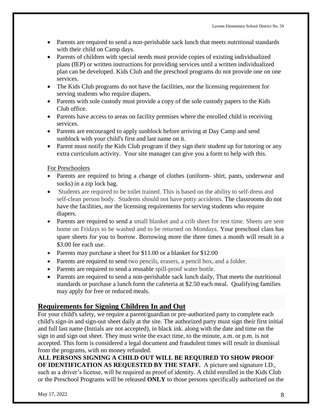- Parents are required to send a non-perishable sack lunch that meets nutritional standards with their child on Camp days.
- Parents of children with special needs must provide copies of existing individualized plans (IEP) or written instructions for providing services until a written individualized plan can be developed. Kids Club and the preschool programs do not provide one on one services.
- The Kids Club programs do not have the facilities, nor the licensing requirement for serving students who require diapers.
- Parents with sole custody must provide a copy of the sole custody papers to the Kids Club office.
- Parents have access to areas on facility premises where the enrolled child is receiving services.
- Parents are encouraged to apply sunblock before arriving at Day Camp and send sunblock with your child's first and last name on it.
- Parent must notify the Kids Club program if they sign their student up for tutoring or any extra curriculum activity. Your site manager can give you a form to help with this.

For Preschoolers

- Parents are required to bring a change of clothes (uniform- shirt, pants, underwear and socks) in a zip lock bag.
- Students are required to be toilet trained. This is based on the ability to self-dress and self-clean person body. Students should not have potty accidents. The classrooms do not have the facilities, nor the licensing requirements for serving students who require diapers.
- Parents are required to send a small blanket and a crib sheet for rest time. Sheets are sent home on Fridays to be washed and to be returned on Mondays. Your preschool class has spare sheets for you to borrow. Borrowing more the three times a month will result in a \$3.00 fee each use.
- Parents may purchase a sheet for \$11.00 or a blanket for \$12.00
- Parents are required to send two pencils, erasers, a pencil box, and a folder.
- Parents are required to send a reusable spill-proof water bottle.
- Parents are required to send a non-perishable sack lunch daily, That meets the nutritional standards or purchase a lunch form the cafeteria at \$2.50 each meal. Qualifying families may apply for free or reduced meals.

# **Requirements for Signing Children In and Out**

For your child's safety, we require a parent/guardian or pre-authorized party to complete each child's sign-in and sign-out sheet daily at the site. The authorized party must sign their first initial and full last name (Initials are not accepted), in black ink. along with the date and time on the sign in and sign out sheet. They must write the exact time, to the minute, a.m. or p.m. is not accepted. This form is considered a legal document and fraudulent times will result in dismissal from the programs, with no money refunded.

## **ALL PERSONS SIGNING A CHILD OUT WILL BE REQUIRED TO SHOW PROOF OF IDENTIFICATION AS REQUESTED BY THE STAFF.** A picture and signature I.D.,

such as a driver's license, will be required as proof of identity. A child enrolled in the Kids Club or the Preschool Programs will be released **ONLY** to those persons specifically authorized on the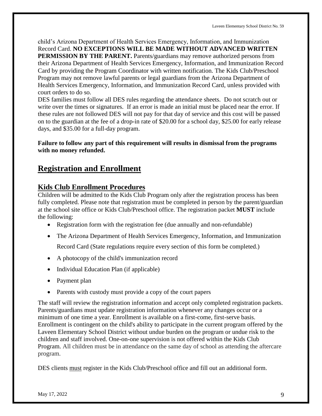child's Arizona Department of Health Services Emergency, Information, and Immunization Record Card. **NO EXCEPTIONS WILL BE MADE WITHOUT ADVANCED WRITTEN PERMISSION BY THE PARENT.** Parents/guardians may remove authorized persons from their Arizona Department of Health Services Emergency, Information, and Immunization Record Card by providing the Program Coordinator with written notification. The Kids Club/Preschool Program may not remove lawful parents or legal guardians from the Arizona Department of Health Services Emergency, Information, and Immunization Record Card, unless provided with court orders to do so.

DES families must follow all DES rules regarding the attendance sheets. Do not scratch out or write over the times or signatures. If an error is made an initial must be placed near the error. If these rules are not followed DES will not pay for that day of service and this cost will be passed on to the guardian at the fee of a drop-in rate of \$20.00 for a school day, \$25.00 for early release days, and \$35.00 for a full-day program.

#### **Failure to follow any part of this requirement will results in dismissal from the programs with no money refunded.**

# **Registration and Enrollment**

# **Kids Club Enrollment Procedures**

Children will be admitted to the Kids Club Program only after the registration process has been fully completed. Please note that registration must be completed in person by the parent/guardian at the school site office or Kids Club/Preschool office. The registration packet **MUST** include the following:

- Registration form with the registration fee (due annually and non-refundable)
- The Arizona Department of Health Services Emergency, Information, and Immunization

Record Card (State regulations require every section of this form be completed.)

- A photocopy of the child's immunization record
- Individual Education Plan (if applicable)
- Payment plan
- Parents with custody must provide a copy of the court papers

The staff will review the registration information and accept only completed registration packets. Parents/guardians must update registration information whenever any changes occur or a minimum of one time a year. Enrollment is available on a first-come, first-serve basis. Enrollment is contingent on the child's ability to participate in the current program offered by the Laveen Elementary School District without undue burden on the program or undue risk to the children and staff involved. One-on-one supervision is not offered within the Kids Club Program. All children must be in attendance on the same day of school as attending the aftercare program.

DES clients must register in the Kids Club/Preschool office and fill out an additional form.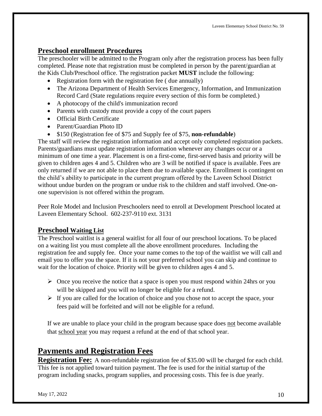## **Preschool enrollment Procedures**

The preschooler will be admitted to the Program only after the registration process has been fully completed. Please note that registration must be completed in person by the parent/guardian at the Kids Club/Preschool office. The registration packet **MUST** include the following:

- Registration form with the registration fee ( due annually)
- The Arizona Department of Health Services Emergency, Information, and Immunization Record Card (State regulations require every section of this form be completed.)
- A photocopy of the child's immunization record
- Parents with custody must provide a copy of the court papers
- Official Birth Certificate
- Parent/Guardian Photo ID
- \$150 (Registration fee of \$75 and Supply fee of \$75, **non-refundable**)

The staff will review the registration information and accept only completed registration packets. Parents/guardians must update registration information whenever any changes occur or a minimum of one time a year. Placement is on a first-come, first-served basis and priority will be given to children ages 4 and 5. Children who are 3 will be notified if space is available. Fees are only returned if we are not able to place them due to available space. Enrollment is contingent on the child's ability to participate in the current program offered by the Laveen School District without undue burden on the program or undue risk to the children and staff involved. One-onone supervision is not offered within the program.

Peer Role Model and Inclusion Preschoolers need to enroll at Development Preschool located at Laveen Elementary School. 602-237-9110 ext. 3131

# **Preschool Waiting List**

The Preschool waitlist is a general waitlist for all four of our preschool locations. To be placed on a waiting list you must complete all the above enrollment procedures. Including the registration fee and supply fee. Once your name comes to the top of the waitlist we will call and email you to offer you the space. If it is not your preferred school you can skip and continue to wait for the location of choice. Priority will be given to children ages 4 and 5.

- $\triangleright$  Once you receive the notice that a space is open you must respond within 24hrs or you will be skipped and you will no longer be eligible for a refund.
- $\triangleright$  If you are called for the location of choice and you chose not to accept the space, your fees paid will be forfeited and will not be eligible for a refund.

If we are unable to place your child in the program because space does not become available that school year you may request a refund at the end of that school year.

# **Payments and Registration Fees**

**Registration Fee:** A non-refundable registration fee of \$35.00 will be charged for each child. This fee is not applied toward tuition payment. The fee is used for the initial startup of the program including snacks, program supplies, and processing costs. This fee is due yearly.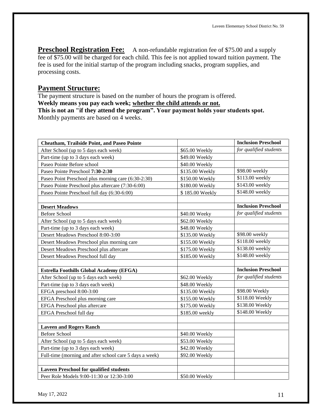**Preschool Registration Fee:** A non-refundable registration fee of \$75.00 and a supply fee of \$75.00 will be charged for each child. This fee is not applied toward tuition payment. The fee is used for the initial startup of the program including snacks, program supplies, and processing costs.

#### **Payment Structure:**

The payment structure is based on the number of hours the program is offered. **Weekly means you pay each week; whether the child attends or not. This is not an "if they attend the program". Your payment holds your students spot.**  Monthly payments are based on 4 weeks.

| <b>Cheatham, Trailside Point, and Paseo Pointe</b>      |                 | <b>Inclusion Preschool</b> |
|---------------------------------------------------------|-----------------|----------------------------|
| After School (up to 5 days each week)                   | \$65.00 Weekly  | for qualified students     |
| Part-time (up to 3 days each week)                      | \$49.00 Weekly  |                            |
| Paseo Pointe Before school                              | \$40.00 Weekly  |                            |
| Paseo Pointe Preschool 7:30-2:30                        | \$135.00 Weekly | \$98.00 weekly             |
| Paseo Point Preschool plus morning care (6:30-2:30)     | \$150.00 Weekly | \$113.00 weekly            |
| Paseo Pointe Preschool plus aftercare (7:30-6:00)       | \$180.00 Weekly | \$143.00 weekly            |
| Paseo Pointe Preschool full day (6:30-6:00)             | \$185.00 Weekly | \$148.00 weekly            |
|                                                         |                 |                            |
| <b>Desert Meadows</b>                                   |                 | <b>Inclusion Preschool</b> |
| <b>Before School</b>                                    | \$40.00 Weeky   | for qualified students     |
| After School (up to 5 days each week)                   | \$62.00 Weekly  |                            |
| Part-time (up to 3 days each week)                      | \$48.00 Weekly  |                            |
| Desert Meadows Preschool 8:00-3:00                      | \$135.00 Weekly | \$98.00 weekly             |
| Desert Meadows Preschool plus morning care              | \$155.00 Weekly | \$118.00 weekly            |
| Desert Meadows Preschool plus aftercare                 | \$175.00 Weekly | \$138.00 weekly            |
| Desert Meadows Preschool full day                       | \$185.00 Weekly | \$148.00 weekly            |
|                                                         |                 |                            |
| <b>Estrella Foothills Global Academy (EFGA)</b>         |                 | <b>Inclusion Preschool</b> |
| After School (up to 5 days each week)                   | \$62.00 Weekly  | for qualified students     |
| Part-time (up to 3 days each week)                      | \$48.00 Weekly  |                            |
| EFGA preschool 8:00-3:00                                | \$135.00 Weekly | \$98.00 Weekly             |
| EFGA Preschool plus morning care                        | \$155.00 Weekly | \$118.00 Weekly            |
| <b>EFGA Preschool plus aftercare</b>                    | \$175.00 Weekly | \$138.00 Weekly            |
| EFGA Preschool full day                                 | \$185.00 weekly | \$148.00 Weekly            |
|                                                         |                 |                            |
| <b>Laveen and Rogers Ranch</b>                          |                 |                            |
| <b>Before School</b>                                    | \$40.00 Weekly  |                            |
| After School (up to 5 days each week)                   | \$53.00 Weekly  |                            |
| Part-time (up to 3 days each week)                      | \$42.00 Weekly  |                            |
| Full-time (morning and after school care 5 days a week) | \$92.00 Weekly  |                            |
|                                                         |                 |                            |
| <b>Laveen Preschool for qualified students</b>          |                 |                            |
| Peer Role Models 9:00-11:30 or 12:30-3:00               | \$50.00 Weekly  |                            |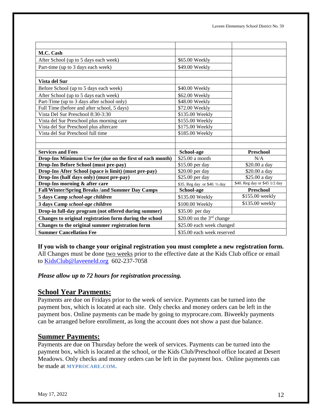| M.C. Cash                                                    |                                |                               |
|--------------------------------------------------------------|--------------------------------|-------------------------------|
| After School (up to 5 days each week)                        | \$65.00 Weekly                 |                               |
| Part-time (up to 3 days each week)                           | \$49.00 Weekly                 |                               |
|                                                              |                                |                               |
| Vista del Sur                                                |                                |                               |
| Before School (up to 5 days each week)                       | \$40.00 Weekly                 |                               |
| After School (up to 5 days each week)                        | \$62.00 Weekly                 |                               |
| Part-Time (up to 3 days after school only)                   | \$48.00 Weekly                 |                               |
| Full Time (before and after school, 5 days)                  | \$72.00 Weekly                 |                               |
| Vista Del Sur Preschool 8:30-3:30                            | \$135.00 Weekly                |                               |
| Vista del Sur Preschool plus morning care                    | \$155.00 Weekly                |                               |
| Vista del Sur Preschool plus aftercare                       | \$175.00 Weekly                |                               |
| Vista del Sur Preschool full time                            | \$185.00 Weekly                |                               |
|                                                              |                                |                               |
|                                                              |                                |                               |
| <b>Services and Fees</b>                                     | School-age                     | Preschool                     |
| Drop-Ins Minimum Use fee (due on the first of each month)    | \$25.00 a month                | N/A                           |
| Drop-Ins Before School (must pre-pay)                        | \$15.00 per day                | \$20.00 a day                 |
| Drop-Ins After School (space is limit) (must pre-pay)        | \$20.00 per day                | \$20.00 a day                 |
| Drop-Ins (half days only) (must pre-pay)                     | \$25.00 per day                | \$25.00 a day                 |
| Drop-Ins morning & after care                                | \$35. Reg day or \$40. 1/2 day | \$40. Reg day or \$45 1/2 day |
| <b>Fall/Winter/Spring Breaks /and Summer Day Camps</b>       | School-age                     | <b>Preschool</b>              |
| 5 days Camp school-age children                              | \$135.00 Weekly                | \$155.00 weekly               |
| 3 days Camp school-age children                              | \$100.00 Weekly                | \$135.00 weekly               |
| Drop-in full-day program (not offered during summer)         | \$35.00 per day                |                               |
| Changes to original registration form during the school      | \$20.00 on the $3rd$ change    |                               |
| Changes to the original summer registration form             | \$25.00 each week changed      |                               |
| <b>Summer Cancellation Fee</b><br>\$35.00 each week reserved |                                |                               |

**If you wish to change your original registration you must complete a new registration form.** All Changes must be done two weeks prior to the effective date at the Kids Club office or email to [KidsClub@laveeneld.org](mailto:KidsClub@laveeneld.org) 602-237-7058

#### *Please allow up to 72 hours for registration processing.*

#### **School Year Payments:**

Payments are due on Fridays prior to the week of service. Payments can be turned into the payment box, which is located at each site. Only checks and money orders can be left in the payment box. Online payments can be made by going to myprocare.com. Biweekly payments can be arranged before enrollment, as long the account does not show a past due balance.

#### **Summer Payments:**

Payments are due on Thursday before the week of services. Payments can be turned into the payment box, which is located at the school, or the Kids Club/Preschool office located at Desert Meadows. Only checks and money orders can be left in the payment box. Online payments can be made at **MYPROCARE.COM.**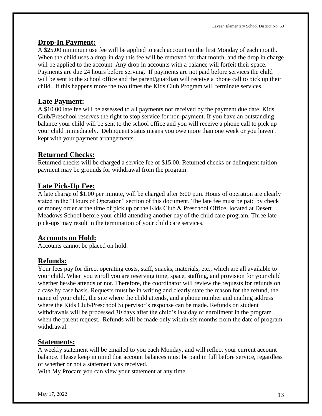#### **Drop-In Payment:**

A \$25.00 minimum use fee will be applied to each account on the first Monday of each month. When the child uses a drop-in day this fee will be removed for that month, and the drop in charge will be applied to the account. Any drop in accounts with a balance will forfeit their space. Payments are due 24 hours before serving. If payments are not paid before services the child will be sent to the school office and the parent/guardian will receive a phone call to pick up their child. If this happens more the two times the Kids Club Program will terminate services.

# **Late Payment:**

A \$10.00 late fee will be assessed to all payments not received by the payment due date. Kids Club/Preschool reserves the right to stop service for non-payment. If you have an outstanding balance your child will be sent to the school office and you will receive a phone call to pick up your child immediately. Delinquent status means you owe more than one week or you haven't kept with your payment arrangements.

# **Returned Checks:**

Returned checks will be charged a service fee of \$15.00. Returned checks or delinquent tuition payment may be grounds for withdrawal from the program.

# **Late Pick-Up Fee:**

A late charge of \$1.00 per minute, will be charged after 6:00 p.m. Hours of operation are clearly stated in the "Hours of Operation" section of this document. The late fee must be paid by check or money order at the time of pick up or the Kids Club & Preschool Office, located at Desert Meadows School before your child attending another day of the child care program. Three late pick-ups may result in the termination of your child care services.

# **Accounts on Hold:**

Accounts cannot be placed on hold.

# **Refunds:**

Your fees pay for direct operating costs, staff, snacks, materials, etc., which are all available to your child. When you enroll you are reserving time, space, staffing, and provision for your child whether he/she attends or not. Therefore, the coordinator will review the requests for refunds on a case by case basis. Requests must be in writing and clearly state the reason for the refund, the name of your child, the site where the child attends, and a phone number and mailing address where the Kids Club/Preschool Supervisor's response can be made. Refunds on student withdrawals will be processed 30 days after the child's last day of enrollment in the program when the parent request. Refunds will be made only within six months from the date of program withdrawal.

# **Statements:**

A weekly statement will be emailed to you each Monday, and will reflect your current account balance. Please keep in mind that account balances must be paid in full before service, regardless of whether or not a statement was received.

With My Procare you can view your statement at any time.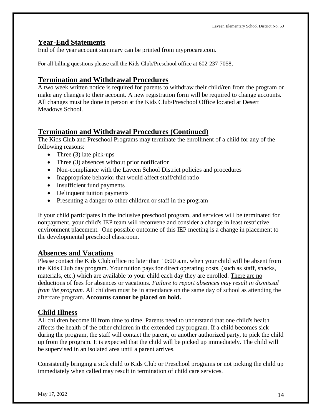#### **Year-End Statements**

End of the year account summary can be printed from myprocare.com.

For all billing questions please call the Kids Club/Preschool office at 602-237-7058,

#### **Termination and Withdrawal Procedures**

A two week written notice is required for parents to withdraw their child/ren from the program or make any changes to their account. A new registration form will be required to change accounts. All changes must be done in person at the Kids Club/Preschool Office located at Desert Meadows School.

#### **Termination and Withdrawal Procedures (Continued)**

The Kids Club and Preschool Programs may terminate the enrollment of a child for any of the following reasons:

- Three  $(3)$  late pick-ups
- Three (3) absences without prior notification
- Non-compliance with the Laveen School District policies and procedures
- Inappropriate behavior that would affect staff/child ratio
- Insufficient fund payments
- Delinquent tuition payments
- Presenting a danger to other children or staff in the program

If your child participates in the inclusive preschool program, and services will be terminated for nonpayment, your child's IEP team will reconvene and consider a change in least restrictive environment placement. One possible outcome of this IEP meeting is a change in placement to the developmental preschool classroom.

#### **Absences and Vacations**

Please contact the Kids Club office no later than 10:00 a.m. when your child will be absent from the Kids Club day program. Your tuition pays for direct operating costs, (such as staff, snacks, materials, etc.) which are available to your child each day they are enrolled. There are no deductions of fees for absences or vacations. *Failure to report absences may result in dismissal from the program.* All children must be in attendance on the same day of school as attending the aftercare program. **Accounts cannot be placed on hold.** 

#### **Child Illness**

All children become ill from time to time. Parents need to understand that one child's health affects the health of the other children in the extended day program. If a child becomes sick during the program, the staff will contact the parent, or another authorized party, to pick the child up from the program. It is expected that the child will be picked up immediately. The child will be supervised in an isolated area until a parent arrives.

Consistently bringing a sick child to Kids Club or Preschool programs or not picking the child up immediately when called may result in termination of child care services.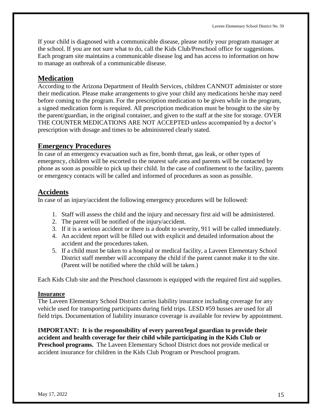If your child is diagnosed with a communicable disease, please notify your program manager at the school. If you are not sure what to do, call the Kids Club/Preschool office for suggestions. Each program site maintains a communicable disease log and has access to information on how to manage an outbreak of a communicable disease.

#### **Medication**

According to the Arizona Department of Health Services, children CANNOT administer or store their medication. Please make arrangements to give your child any medications he/she may need before coming to the program. For the prescription medication to be given while in the program, a signed medication form is required. All prescription medication must be brought to the site by the parent/guardian, in the original container, and given to the staff at the site for storage. OVER THE COUNTER MEDICATIONS ARE NOT ACCEPTED unless accompanied by a doctor's prescription with dosage and times to be administered clearly stated.

## **Emergency Procedures**

In case of an emergency evacuation such as fire, bomb threat, gas leak, or other types of emergency, children will be escorted to the nearest safe area and parents will be contacted by phone as soon as possible to pick up their child. In the case of confinement to the facility, parents or emergency contacts will be called and informed of procedures as soon as possible.

## **Accidents**

In case of an injury/accident the following emergency procedures will be followed:

- 1. Staff will assess the child and the injury and necessary first aid will be administered.
- 2. The parent will be notified of the injury/accident.
- 3. If it is a serious accident or there is a doubt to severity, 911 will be called immediately.
- 4. An accident report will be filled out with explicit and detailed information about the accident and the procedures taken.
- 5. If a child must be taken to a hospital or medical facility, a Laveen Elementary School District staff member will accompany the child if the parent cannot make it to the site. (Parent will be notified where the child will be taken.)

Each Kids Club site and the Preschool classroom is equipped with the required first aid supplies.

#### **Insurance**

The Laveen Elementary School District carries liability insurance including coverage for any vehicle used for transporting participants during field trips. LESD #59 busses are used for all field trips. Documentation of liability insurance coverage is available for review by appointment.

**IMPORTANT: It is the responsibility of every parent/legal guardian to provide their accident and health coverage for their child while participating in the Kids Club or Preschool programs.** The Laveen Elementary School District does not provide medical or accident insurance for children in the Kids Club Program or Preschool program.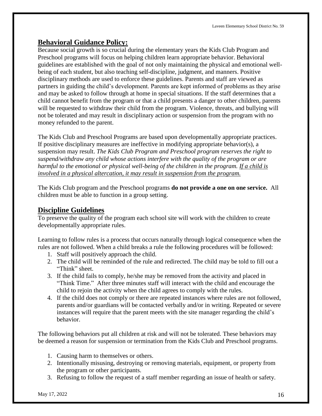# **Behavioral Guidance Policy:**

Because social growth is so crucial during the elementary years the Kids Club Program and Preschool programs will focus on helping children learn appropriate behavior. Behavioral guidelines are established with the goal of not only maintaining the physical and emotional wellbeing of each student, but also teaching self-discipline, judgment, and manners. Positive disciplinary methods are used to enforce these guidelines. Parents and staff are viewed as partners in guiding the child's development. Parents are kept informed of problems as they arise and may be asked to follow through at home in special situations. If the staff determines that a child cannot benefit from the program or that a child presents a danger to other children, parents will be requested to withdraw their child from the program. Violence, threats, and bullying will not be tolerated and may result in disciplinary action or suspension from the program with no money refunded to the parent.

The Kids Club and Preschool Programs are based upon developmentally appropriate practices. If positive disciplinary measures are ineffective in modifying appropriate behavior(s), a suspension may result. *The Kids Club Program and Preschool program reserves the right to suspend/withdraw any child whose actions interfere with the quality of the program or are harmful to the emotional or physical well-being of the children in the program. If a child is involved in a physical altercation, it may result in suspension from the program.*

The Kids Club program and the Preschool programs **do not provide a one on one service.** All children must be able to function in a group setting.

# **Discipline Guidelines**

To preserve the quality of the program each school site will work with the children to create developmentally appropriate rules.

Learning to follow rules is a process that occurs naturally through logical consequence when the rules are not followed. When a child breaks a rule the following procedures will be followed:

- 1. Staff will positively approach the child.
- 2. The child will be reminded of the rule and redirected. The child may be told to fill out a "Think" sheet.
- 3. If the child fails to comply, he/she may be removed from the activity and placed in "Think Time." After three minutes staff will interact with the child and encourage the child to rejoin the activity when the child agrees to comply with the rules.
- 4. If the child does not comply or there are repeated instances where rules are not followed, parents and/or guardians will be contacted verbally and/or in writing. Repeated or severe instances will require that the parent meets with the site manager regarding the child's behavior.

The following behaviors put all children at risk and will not be tolerated. These behaviors may be deemed a reason for suspension or termination from the Kids Club and Preschool programs.

- 1. Causing harm to themselves or others.
- 2. Intentionally misusing, destroying or removing materials, equipment, or property from the program or other participants.
- 3. Refusing to follow the request of a staff member regarding an issue of health or safety.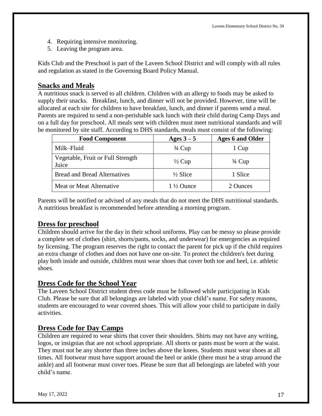- 4. Requiring intensive monitoring.
- 5. Leaving the program area.

Kids Club and the Preschool is part of the Laveen School District and will comply with all rules and regulation as stated in the Governing Board Policy Manual.

# **Snacks and Meals**

A nutritious snack is served to all children. Children with an allergy to foods may be asked to supply their snacks. Breakfast, lunch, and dinner will not be provided. However, time will be allocated at each site for children to have breakfast, lunch, and dinner if parents send a meal. Parents are required to send a non-perishable sack lunch with their child during Camp Days and on a full day for preschool. All meals sent with children must meet nutritional standards and will be monitored by site staff. According to DHS standards, meals must consist of the following:

| <b>Food Component</b>                      | Ages $3-5$           | <b>Ages 6 and Older</b> |
|--------------------------------------------|----------------------|-------------------------|
| Milk-Fluid                                 | $\frac{3}{4}$ Cup    | 1 Cup                   |
| Vegetable, Fruit or Full Strength<br>Juice | $\frac{1}{2}$ Cup    | $\frac{3}{4}$ Cup       |
| <b>Bread and Bread Alternatives</b>        | $\frac{1}{2}$ Slice  | 1 Slice                 |
| Meat or Meat Alternative                   | $1\frac{1}{2}$ Ounce | 2 Ounces                |

Parents will be notified or advised of any meals that do not meet the DHS nutritional standards. A nutritious breakfast is recommended before attending a morning program.

# **Dress for preschool**

Children should arrive for the day in their school uniforms. Play can be messy so please provide a complete set of clothes (shirt, shorts/pants, socks, and underwear) for emergencies as required by licensing. The program reserves the right to contact the parent for pick up if the child requires an extra change of clothes and does not have one on-site. To protect the children's feet during play both inside and outside, children must wear shoes that cover both toe and heel, i.e. athletic shoes.

# **Dress Code for the School Year**

The Laveen School District student dress code must be followed while participating in Kids Club. Please be sure that all belongings are labeled with your child's name. For safety reasons, students are encouraged to wear covered shoes. This will allow your child to participate in daily activities.

# **Dress Code for Day Camps**

Children are required to wear shirts that cover their shoulders. Shirts may not have any writing, logos, or insignias that are not school appropriate. All shorts or pants must be worn at the waist. They must not be any shorter than three inches above the knees. Students must wear shoes at all times. All footwear must have support around the heel or ankle (there must be a strap around the ankle) and all footwear must cover toes. Please be sure that all belongings are labeled with your child's name.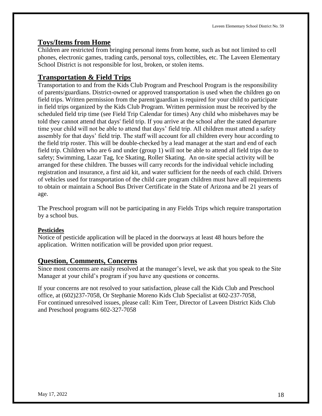#### **Toys/Items from Home**

Children are restricted from bringing personal items from home, such as but not limited to cell phones, electronic games, trading cards, personal toys, collectibles, etc. The Laveen Elementary School District is not responsible for lost, broken, or stolen items.

# **Transportation & Field Trips**

Transportation to and from the Kids Club Program and Preschool Program is the responsibility of parents/guardians. District-owned or approved transportation is used when the children go on field trips. Written permission from the parent/guardian is required for your child to participate in field trips organized by the Kids Club Program. Written permission must be received by the scheduled field trip time (see Field Trip Calendar for times) Any child who misbehaves may be told they cannot attend that days' field trip. If you arrive at the school after the stated departure time your child will not be able to attend that days' field trip. All children must attend a safety assembly for that days' field trip. The staff will account for all children every hour according to the field trip roster. This will be double-checked by a lead manager at the start and end of each field trip. Children who are 6 and under (group 1) will not be able to attend all field trips due to safety; Swimming, Lazar Tag, Ice Skating, Roller Skating. An on-site special activity will be arranged for these children. The busses will carry records for the individual vehicle including registration and insurance, a first aid kit, and water sufficient for the needs of each child. Drivers of vehicles used for transportation of the child care program children must have all requirements to obtain or maintain a School Bus Driver Certificate in the State of Arizona and be 21 years of age.

The Preschool program will not be participating in any Fields Trips which require transportation by a school bus.

#### **Pesticides**

Notice of pesticide application will be placed in the doorways at least 48 hours before the application. Written notification will be provided upon prior request.

#### **Question, Comments, Concerns**

Since most concerns are easily resolved at the manager's level, we ask that you speak to the Site Manager at your child's program if you have any questions or concerns.

If your concerns are not resolved to your satisfaction, please call the Kids Club and Preschool office, at (602)237-7058, Or Stephanie Moreno Kids Club Specialist at 602-237-7058, For continued unresolved issues, please call: Kim Teer, Director of Laveen District Kids Club and Preschool programs 602-327-7058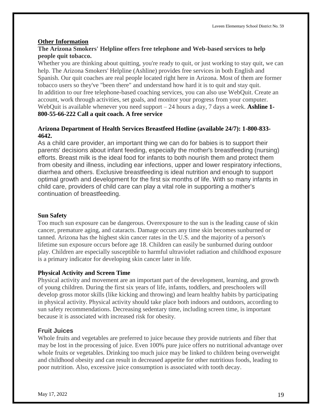#### **Other Information**

#### **The Arizona Smokers' Helpline offers free telephone and Web-based services to help people quit tobacco.**

Whether you are thinking about quitting, you're ready to quit, or just working to stay quit, we can help. The Arizona Smokers' Helpline (Ashline) provides free services in both English and Spanish. Our quit coaches are real people located right here in Arizona. Most of them are former tobacco users so they've "been there" and understand how hard it is to quit and stay quit. In addition to our free telephone-based coaching services, you can also use WebQuit. Create an account, work through activities, set goals, and monitor your progress from your computer. WebQuit is available whenever you need support – 24 hours a day, 7 days a week. **Ashline 1- 800-55-66-222 Call a quit coach. A free service**

#### **Arizona Department of Health Services Breastfeed Hotline (available 24/7): 1-800-833- 4642.**

As a child care provider, an important thing we can do for babies is to support their parents' decisions about infant feeding, especially the mother's breastfeeding (nursing) efforts. Breast milk is the ideal food for infants to both nourish them and protect them from obesity and illness, including ear infections, upper and lower respiratory infections, diarrhea and others. Exclusive breastfeeding is ideal nutrition and enough to support optimal growth and development for the first six months of life. With so many infants in child care, providers of child care can play a vital role in supporting a mother's continuation of breastfeeding.

#### **Sun Safety**

Too much sun exposure can be dangerous. Overexposure to the sun is the leading cause of skin cancer, premature aging, and cataracts. Damage occurs any time skin becomes sunburned or tanned. Arizona has the highest skin cancer rates in the U.S. and the majority of a person's lifetime sun exposure occurs before age 18. Children can easily be sunburned during outdoor play. Children are especially susceptible to harmful ultraviolet radiation and childhood exposure is a primary indicator for developing skin cancer later in life.

#### **Physical Activity and Screen Time**

Physical activity and movement are an important part of the development, learning, and growth of young children. During the first six years of life, infants, toddlers, and preschoolers will develop gross motor skills (like kicking and throwing) and learn healthy habits by participating in physical activity. Physical activity should take place both indoors and outdoors, according to sun safety recommendations. Decreasing sedentary time, including screen time, is important because it is associated with increased risk for obesity.

#### **Fruit Juices**

Whole fruits and vegetables are preferred to juice because they provide nutrients and fiber that may be lost in the processing of juice. Even 100% pure juice offers no nutritional advantage over whole fruits or vegetables. Drinking too much juice may be linked to children being overweight and childhood obesity and can result in decreased appetite for other nutritious foods, leading to poor nutrition. Also, excessive juice consumption is associated with tooth decay.